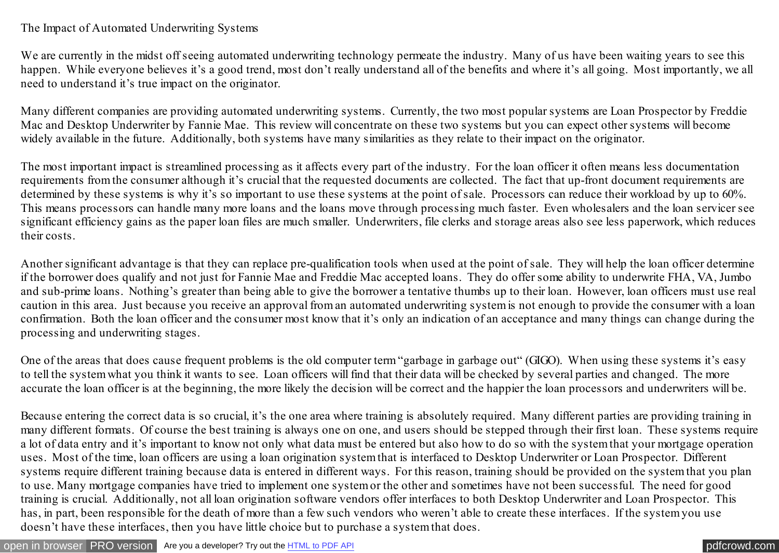## The Impact of Automated Underwriting Systems

We are currently in the midst off seeing automated underwriting technology permeate the industry. Many of us have been waiting years to see this happen. While everyone believes it's a good trend, most don't really understand all of the benefits and where it's all going. Most importantly, we all need to understand it's true impact on the originator.

Many different companies are providing automated underwriting systems. Currently, the two most popular systems are Loan Prospector by Freddie Mac and Desktop Underwriter by Fannie Mae. This review will concentrate on these two systems but you can expect other systems will become widely available in the future. Additionally, both systems have many similarities as they relate to their impact on the originator.

The most important impact is streamlined processing as it affects every part of the industry. For the loan officer it often means less documentation requirements from the consumer although it's crucial that the requested documents are collected. The fact that up-front document requirements are determined by these systems is why it's so important to use these systems at the point of sale. Processors can reduce their workload by up to 60%. This means processors can handle many more loans and the loans move through processing much faster. Even wholesalers and the loan servicer see significant efficiency gains as the paper loan files are much smaller. Underwriters, file clerks and storage areas also see less paperwork, which reduces their costs.

Another significant advantage is that they can replace pre-qualification tools when used at the point of sale. They will help the loan officer determine if the borrower does qualify and not just for Fannie Mae and Freddie Mac accepted loans. They do offer some ability to underwrite FHA, VA, Jumbo and sub-prime loans. Nothing's greater than being able to give the borrower a tentative thumbs up to their loan. However, loan officers must use real caution in this area. Just because you receive an approval from an automated underwriting system is not enough to provide the consumer with a loan confirmation. Both the loan officer and the consumer most know that it's only an indication of an acceptance and many things can change during the processing and underwriting stages.

One of the areas that does cause frequent problems is the old computer term "garbage in garbage out" (GIGO). When using these systems it's easy to tell the system what you think it wants to see. Loan officers will find that their data will be checked by several parties and changed. The more accurate the loan officer is at the beginning, the more likely the decision will be correct and the happier the loan processors and underwriters will be.

Because entering the correct data is so crucial, it's the one area where training is absolutely required. Many different parties are providing training in many different formats. Of course the best training is always one on one, and users should be stepped through their first loan. These systems require a lot of data entry and it's important to know not only what data must be entered but also how to do so with the system that your mortgage operation uses. Most of the time, loan officers are using a loan origination system that is interfaced to Desktop Underwriter or Loan Prospector. Different systems require different training because data is entered in different ways. For this reason, training should be provided on the system that you plan to use. Many mortgage companies have tried to implement one system or the other and sometimes have not been successful. The need for good training is crucial. Additionally, not all loan origination software vendors offer interfaces to both Desktop Underwriter and Loan Prospector. This has, in part, been responsible for the death of more than a few such vendors who weren't able to create these interfaces. If the system you use doesn't have these interfaces, then you have little choice but to purchase a system that does.